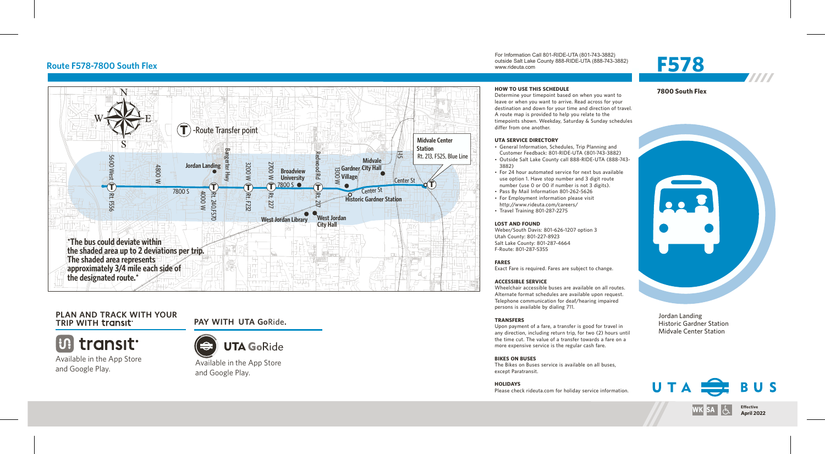

# **PLAN AND TRACK WITH YOUR**

**UP transit.** 

Available in the App Store and Google Play.



**TRIP WITH PAY WITH UTA Go**Ride**.**

Available in the App Store and Google Play.

For Information Call 801-RIDE-UTA (801-743-3882) outside Salt Lake County 888-RIDE-UTA (888-743-3882) www.rideuta.com Route F578-7800 South Flex **For information Call 801-RIDE-UTA (801-743-3882)**<br>Route F578-7800 South Flex **F578** 



# **7800 South Flex**

**HOW TO USE THIS SCHEDULE** Determine your timepoint based on when you want to leave or when you want to arrive. Read across for your destination and down for your time and direction of travel. A route map is provided to help you relate to the timepoints shown. Weekday, Saturday & Sunday schedules differ from one another.

#### **UTA SERVICE DIRECTORY**

- General Information, Schedules, Trip Planning and Customer Feedback: 801-RIDE-UTA (801-743-3882)
- Outside Salt Lake County call 888-RIDE-UTA (888-743-3882)
- For 24 hour automated service for next bus available use option 1. Have stop number and 3 digit route number (use 0 or 00 if number is not 3 digits).
- Pass By Mail Information 801-262-5626
- For Employment information please visit http://www.rideuta.com/careers/  $\cdot$  Travel Training 801-287-2275

#### **LOST AND FOUND**

Weber/South Davis: 801-626-1207 option 3 Utah County: 801-227-8923 Salt Lake County: 801-287-4664 F-Route: 801-287-5355

#### **FARES**

Exact Fare is required. Fares are subject to change.

#### **ACCESSIBLE SERVICE**

Wheelchair accessible buses are available on all routes. Alternate format schedules are available upon request. Telephone communication for deaf/hearing impaired persons is available by dialing 711.

#### **TRANSFERS**

Upon payment of a fare, a transfer is good for travel in any direction, including return trip, for two (2) hours until the time cut. The value of a transfer towards a fare on a more expensive service is the regular cash fare.

## **BIKES ON BUSES**

The Bikes on Buses service is available on all buses, except Paratransit.

#### **HOLIDAYS** Please check rideuta.com for holiday service information.



Jordan Landing Historic Gardner Station Midvale Center Station



 $|\mathbf{W}\mathbf{K}|$  SA  $|\mathbf{L}\mathbf{L}|$ 

**Effective**<br>**April 2022** 

7777